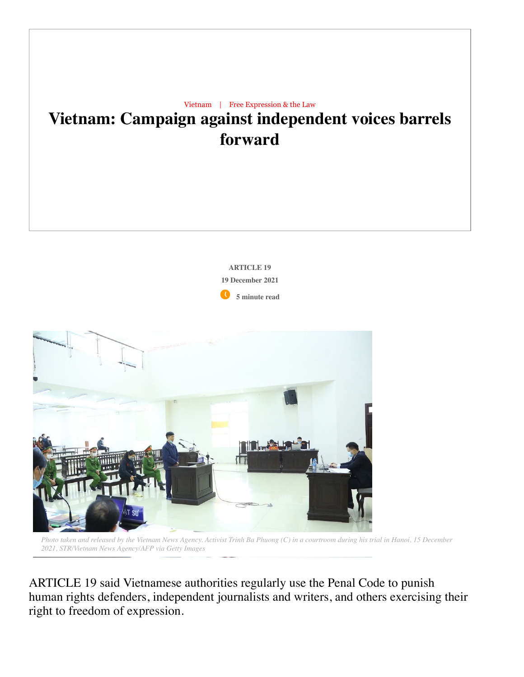

Photo taken and released by the Vietnam News Agency. Activist Trinh Ba Phuong (C) in a courtroom during his trial in Hanoi, 15 December *2021, STR/Vietnam News Agency/AFP via Getty Images*

ARTICLE 19 said Vietnamese authorities regularly use the Penal Code to punish human rights defenders, independent journalists and writers, and others exercising their right to freedom of expression.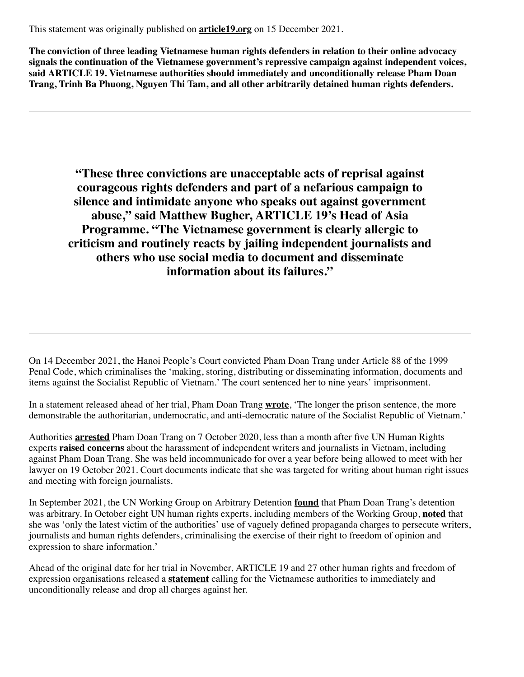This statement was originally published on **[article19.org](https://www.article19.org/resources/vietnam-campaign-against-independent-voices-barrels-forward/)** on 15 December 2021.

**The conviction of three leading Vietnamese human rights defenders in relation to their online advocacy signals the continuation of the Vietnamese government's repressive campaign against independent voices, said ARTICLE 19. Vietnamese authorities should immediately and unconditionally release Pham Doan Trang, Trinh Ba Phuong, Nguyen Thi Tam, and all other arbitrarily detained human rights defenders.**

**"These three convictions are unacceptable acts of reprisal against courageous rights defenders and part of a nefarious campaign to silence and intimidate anyone who speaks out against government abuse, " said Matthew Bugher, ARTICLE 19's Head of Asia Programme. "The Vietnamese government is clearly allergic to criticism and routinely reacts by jailing independent journalists and others who use social media to document and disseminate information about its failures."**

On 14 December 2021, the Hanoi People's Court convicted Pham Doan Trang under Article 88 of the 1999 Penal Code, which criminalises the 'making, storing, distributing or disseminating information, documents and items against the Socialist Republic of Vietnam.' The court sentenced her to nine years' imprisonment.

In a statement released ahead of her trial, Pham Doan Trang **[wrote](https://www.thevietnamese.org/2021/12/pham-doan-trangs-final-statement-at-her-trial/)**, 'The longer the prison sentence, the more demonstrable the authoritarian, undemocratic, and anti-democratic nature of the Socialist Republic of Vietnam.'

Authorities **[arrested](https://www.voanews.com/a/press-freedom_rights-groups-deplore-arrest-vietnam-writer-and-activist-pham-doan-trang/6196876.html)** Pham Doan Trang on 7 October 2020, less than a month after five UN Human Rights experts **[raised concerns](https://spcommreports.ohchr.org/TMResultsBase/DownLoadPublicCommunicationFile?gId=25542)** about the harassment of independent writers and journalists in Vietnam, including against Pham Doan Trang. She was held incommunicado for over a year before being allowed to meet with her lawyer on 19 October 2021. Court documents indicate that she was targeted for writing about human right issues and meeting with foreign journalists.

In September 2021, the UN Working Group on Arbitrary Detention **[found](https://www.ohchr.org/Documents/Issues/Detention/Opinions/Session91/A_HRC_WGAD_2021_40_AdvanceEditedVersion.docx)** that Pham Doan Trang's detention was arbitrary. In October eight UN human rights experts, including members of the Working Group, **[noted](https://www.ohchr.org/EN/NewsEvents/Pages/DisplayNews.aspx?NewsID=27734&LangID=E)** that she was 'only the latest victim of the authorities' use of vaguely defined propaganda charges to persecute writers, journalists and human rights defenders, criminalising the exercise of their right to freedom of opinion and expression to share information.'

Ahead of the original date for her trial in November, ARTICLE 19 and 27 other human rights and freedom of expression organisations released a **[statement](https://www.article19.org/resources/vietnam-release-journalist-human-rights-defender-pham-doan-trang/)** calling for the Vietnamese authorities to immediately and unconditionally release and drop all charges against her.